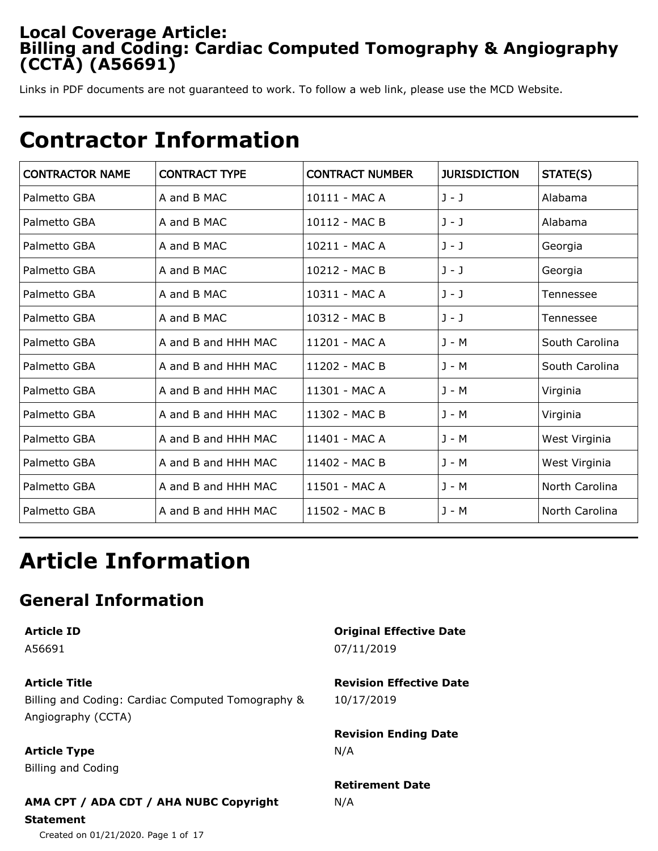## **Local Coverage Article: Billing and Coding: Cardiac Computed Tomography & Angiography (CCTA) (A56691)**

Links in PDF documents are not guaranteed to work. To follow a web link, please use the MCD Website.

## **Contractor Information**

| <b>CONTRACTOR NAME</b> | <b>CONTRACT TYPE</b> | <b>CONTRACT NUMBER</b> | <b>JURISDICTION</b> | STATE(S)       |
|------------------------|----------------------|------------------------|---------------------|----------------|
| Palmetto GBA           | A and B MAC          | 10111 - MAC A          | $J - J$             | Alabama        |
| Palmetto GBA           | A and B MAC          | 10112 - MAC B          | $J - J$             | Alabama        |
| Palmetto GBA           | A and B MAC          | 10211 - MAC A          | $J - J$             | Georgia        |
| Palmetto GBA           | A and B MAC          | 10212 - MAC B          | $J - J$             | Georgia        |
| Palmetto GBA           | A and B MAC          | 10311 - MAC A          | $J - J$             | Tennessee      |
| Palmetto GBA           | A and B MAC          | 10312 - MAC B          | $J - J$             | Tennessee      |
| Palmetto GBA           | A and B and HHH MAC  | 11201 - MAC A          | J - M               | South Carolina |
| Palmetto GBA           | A and B and HHH MAC  | 11202 - MAC B          | J - M               | South Carolina |
| Palmetto GBA           | A and B and HHH MAC  | 11301 - MAC A          | J - M               | Virginia       |
| Palmetto GBA           | A and B and HHH MAC  | 11302 - MAC B          | J - M               | Virginia       |
| Palmetto GBA           | A and B and HHH MAC  | 11401 - MAC A          | J - M               | West Virginia  |
| Palmetto GBA           | A and B and HHH MAC  | 11402 - MAC B          | J - M               | West Virginia  |
| Palmetto GBA           | A and B and HHH MAC  | 11501 - MAC A          | J - M               | North Carolina |
| Palmetto GBA           | A and B and HHH MAC  | 11502 - MAC B          | J - M               | North Carolina |

# **Article Information**

## **General Information**

**Article ID**

A56691

**Article Title**

Billing and Coding: Cardiac Computed Tomography & Angiography (CCTA)

**Article Type**

Billing and Coding

## **AMA CPT / ADA CDT / AHA NUBC Copyright**

**Statement**

Created on 01/21/2020. Page 1 of 17

**Original Effective Date** 07/11/2019

**Revision Effective Date** 10/17/2019

**Revision Ending Date** N/A

**Retirement Date** N/A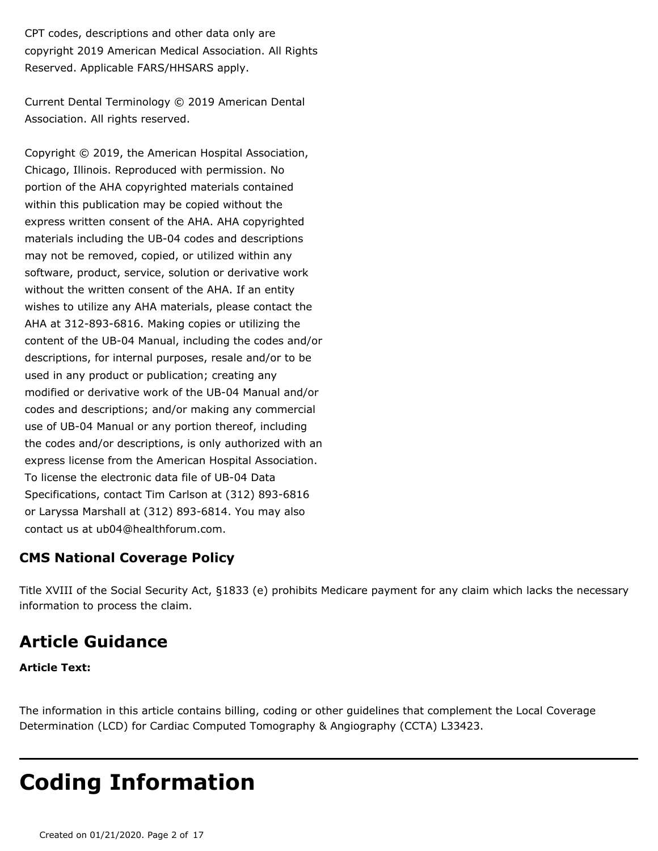CPT codes, descriptions and other data only are copyright 2019 American Medical Association. All Rights Reserved. Applicable FARS/HHSARS apply.

Current Dental Terminology © 2019 American Dental Association. All rights reserved.

Copyright © 2019, the American Hospital Association, Chicago, Illinois. Reproduced with permission. No portion of the AHA copyrighted materials contained within this publication may be copied without the express written consent of the AHA. AHA copyrighted materials including the UB-04 codes and descriptions may not be removed, copied, or utilized within any software, product, service, solution or derivative work without the written consent of the AHA. If an entity wishes to utilize any AHA materials, please contact the AHA at 312-893-6816. Making copies or utilizing the content of the UB-04 Manual, including the codes and/or descriptions, for internal purposes, resale and/or to be used in any product or publication; creating any modified or derivative work of the UB-04 Manual and/or codes and descriptions; and/or making any commercial use of UB-04 Manual or any portion thereof, including the codes and/or descriptions, is only authorized with an express license from the American Hospital Association. To license the electronic data file of UB-04 Data Specifications, contact Tim Carlson at (312) 893-6816 or Laryssa Marshall at (312) 893-6814. You may also contact us at ub04@healthforum.com.

## **CMS National Coverage Policy**

Title XVIII of the Social Security Act, §1833 (e) prohibits Medicare payment for any claim which lacks the necessary information to process the claim.

## **Article Guidance**

### **Article Text:**

The information in this article contains billing, coding or other guidelines that complement the Local Coverage Determination (LCD) for Cardiac Computed Tomography & Angiography (CCTA) L33423.

# **Coding Information**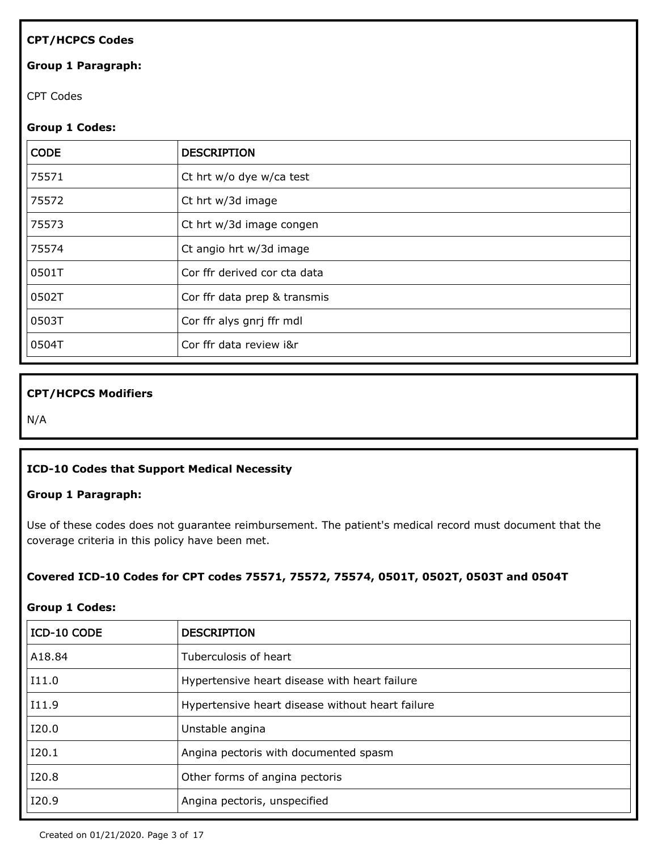### **CPT/HCPCS Codes**

#### **Group 1 Paragraph:**

CPT Codes

#### **Group 1 Codes:**

| <b>CODE</b> | <b>DESCRIPTION</b>           |
|-------------|------------------------------|
| 75571       | Ct hrt w/o dye w/ca test     |
| 75572       | Ct hrt w/3d image            |
| 75573       | Ct hrt w/3d image congen     |
| 75574       | Ct angio hrt w/3d image      |
| 0501T       | Cor ffr derived cor cta data |
| 0502T       | Cor ffr data prep & transmis |
| 0503T       | Cor ffr alys gnrj ffr mdl    |
| 0504T       | Cor ffr data review i&r      |

### **CPT/HCPCS Modifiers**

N/A

#### **ICD-10 Codes that Support Medical Necessity**

#### **Group 1 Paragraph:**

Use of these codes does not guarantee reimbursement. The patient's medical record must document that the coverage criteria in this policy have been met.

#### **Covered ICD-10 Codes for CPT codes 75571, 75572, 75574, 0501T, 0502T, 0503T and 0504T**

#### **Group 1 Codes:**

| ICD-10 CODE | <b>DESCRIPTION</b>                               |
|-------------|--------------------------------------------------|
| A18.84      | Tuberculosis of heart                            |
| I11.0       | Hypertensive heart disease with heart failure    |
| I11.9       | Hypertensive heart disease without heart failure |
| I20.0       | Unstable angina                                  |
| I20.1       | Angina pectoris with documented spasm            |
| I20.8       | Other forms of angina pectoris                   |
| I20.9       | Angina pectoris, unspecified                     |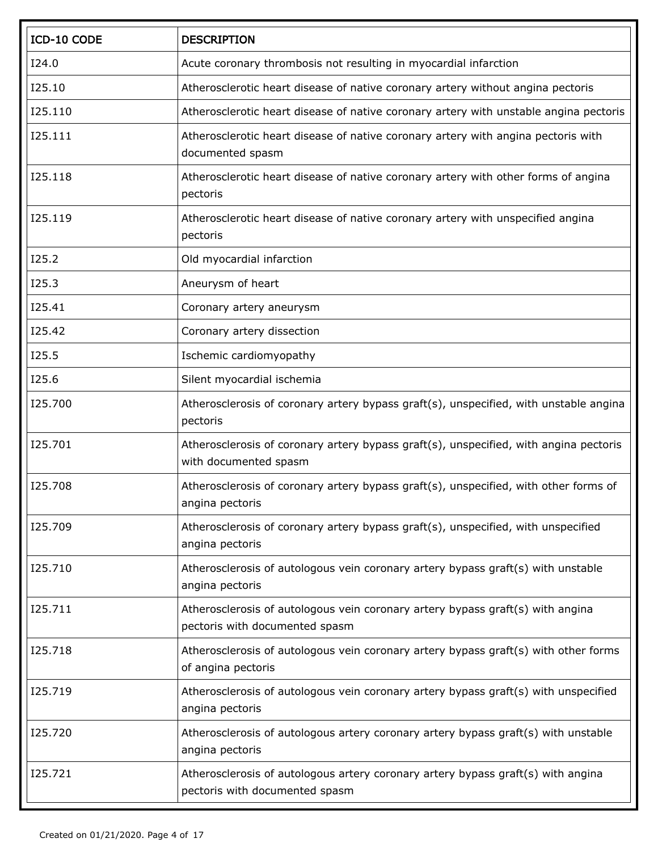| ICD-10 CODE | <b>DESCRIPTION</b>                                                                                                 |
|-------------|--------------------------------------------------------------------------------------------------------------------|
| I24.0       | Acute coronary thrombosis not resulting in myocardial infarction                                                   |
| I25.10      | Atherosclerotic heart disease of native coronary artery without angina pectoris                                    |
| I25.110     | Atherosclerotic heart disease of native coronary artery with unstable angina pectoris                              |
| I25.111     | Atherosclerotic heart disease of native coronary artery with angina pectoris with<br>documented spasm              |
| I25.118     | Atherosclerotic heart disease of native coronary artery with other forms of angina<br>pectoris                     |
| I25.119     | Atherosclerotic heart disease of native coronary artery with unspecified angina<br>pectoris                        |
| I25.2       | Old myocardial infarction                                                                                          |
| I25.3       | Aneurysm of heart                                                                                                  |
| I25.41      | Coronary artery aneurysm                                                                                           |
| I25.42      | Coronary artery dissection                                                                                         |
| I25.5       | Ischemic cardiomyopathy                                                                                            |
| I25.6       | Silent myocardial ischemia                                                                                         |
| 125.700     | Atherosclerosis of coronary artery bypass graft(s), unspecified, with unstable angina<br>pectoris                  |
| 125.701     | Atherosclerosis of coronary artery bypass graft(s), unspecified, with angina pectoris<br>with documented spasm     |
| 125.708     | Atherosclerosis of coronary artery bypass graft(s), unspecified, with other forms of<br>angina pectoris            |
| I25.709     | Atherosclerosis of coronary artery bypass graft(s), unspecified, with unspecified<br>angina pectoris               |
| I25.710     | Atherosclerosis of autologous vein coronary artery bypass graft(s) with unstable<br>angina pectoris                |
| I25.711     | Atherosclerosis of autologous vein coronary artery bypass graft(s) with angina<br>pectoris with documented spasm   |
| I25.718     | Atherosclerosis of autologous vein coronary artery bypass graft(s) with other forms<br>of angina pectoris          |
| I25.719     | Atherosclerosis of autologous vein coronary artery bypass graft(s) with unspecified<br>angina pectoris             |
| I25.720     | Atherosclerosis of autologous artery coronary artery bypass graft(s) with unstable<br>angina pectoris              |
| I25.721     | Atherosclerosis of autologous artery coronary artery bypass graft(s) with angina<br>pectoris with documented spasm |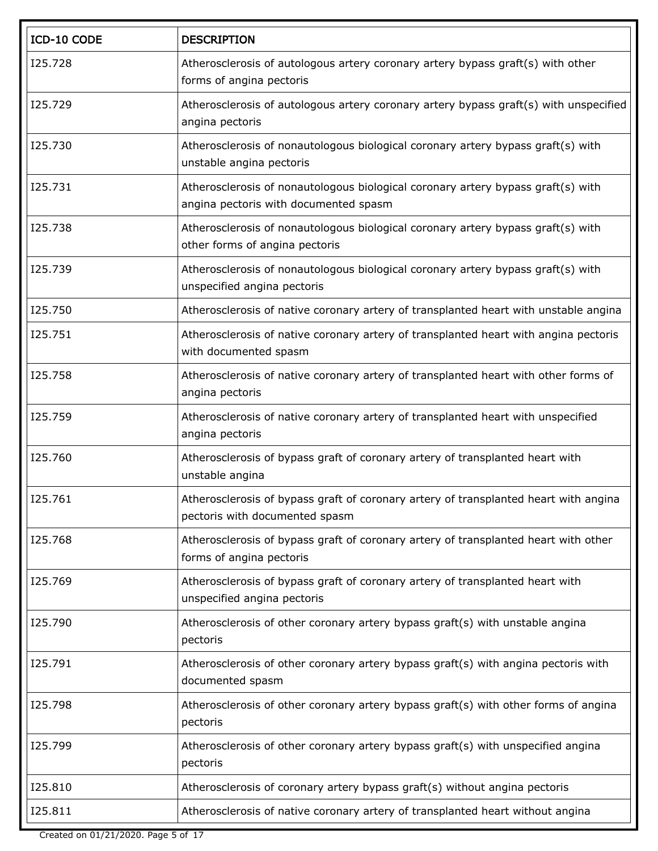| ICD-10 CODE | <b>DESCRIPTION</b>                                                                                                        |
|-------------|---------------------------------------------------------------------------------------------------------------------------|
| I25.728     | Atherosclerosis of autologous artery coronary artery bypass graft(s) with other<br>forms of angina pectoris               |
| I25.729     | Atherosclerosis of autologous artery coronary artery bypass graft(s) with unspecified<br>angina pectoris                  |
| I25.730     | Atherosclerosis of nonautologous biological coronary artery bypass graft(s) with<br>unstable angina pectoris              |
| I25.731     | Atherosclerosis of nonautologous biological coronary artery bypass graft(s) with<br>angina pectoris with documented spasm |
| 125.738     | Atherosclerosis of nonautologous biological coronary artery bypass graft(s) with<br>other forms of angina pectoris        |
| I25.739     | Atherosclerosis of nonautologous biological coronary artery bypass graft(s) with<br>unspecified angina pectoris           |
| I25.750     | Atherosclerosis of native coronary artery of transplanted heart with unstable angina                                      |
| I25.751     | Atherosclerosis of native coronary artery of transplanted heart with angina pectoris<br>with documented spasm             |
| I25.758     | Atherosclerosis of native coronary artery of transplanted heart with other forms of<br>angina pectoris                    |
| I25.759     | Atherosclerosis of native coronary artery of transplanted heart with unspecified<br>angina pectoris                       |
| I25.760     | Atherosclerosis of bypass graft of coronary artery of transplanted heart with<br>unstable angina                          |
| I25.761     | Atherosclerosis of bypass graft of coronary artery of transplanted heart with angina<br>pectoris with documented spasm    |
| I25.768     | Atherosclerosis of bypass graft of coronary artery of transplanted heart with other<br>forms of angina pectoris           |
| I25.769     | Atherosclerosis of bypass graft of coronary artery of transplanted heart with<br>unspecified angina pectoris              |
| I25.790     | Atherosclerosis of other coronary artery bypass graft(s) with unstable angina<br>pectoris                                 |
| I25.791     | Atherosclerosis of other coronary artery bypass graft(s) with angina pectoris with<br>documented spasm                    |
| I25.798     | Atherosclerosis of other coronary artery bypass graft(s) with other forms of angina<br>pectoris                           |
| I25.799     | Atherosclerosis of other coronary artery bypass graft(s) with unspecified angina<br>pectoris                              |
| I25.810     | Atherosclerosis of coronary artery bypass graft(s) without angina pectoris                                                |
| I25.811     | Atherosclerosis of native coronary artery of transplanted heart without angina                                            |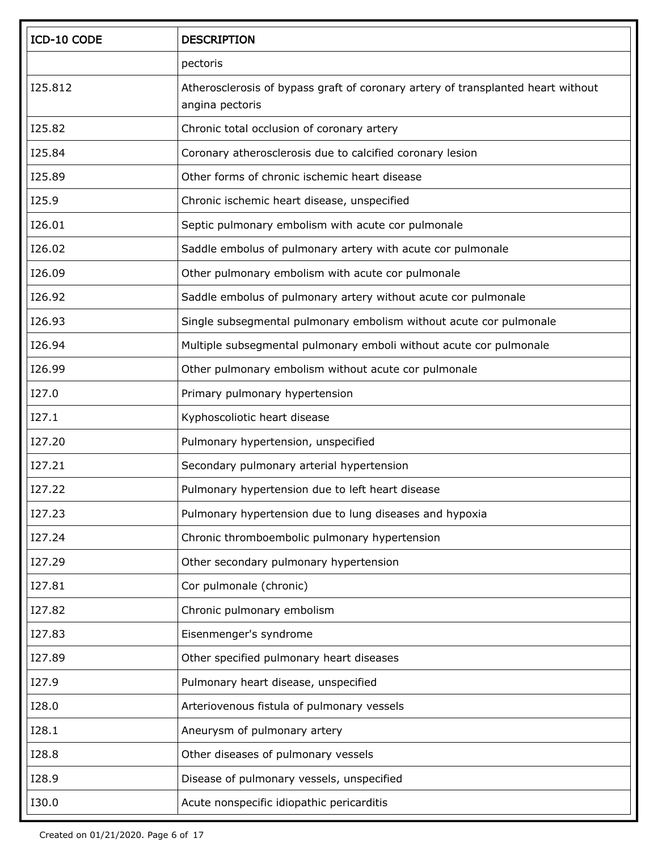| ICD-10 CODE   | <b>DESCRIPTION</b>                                                                                  |
|---------------|-----------------------------------------------------------------------------------------------------|
|               | pectoris                                                                                            |
| I25.812       | Atherosclerosis of bypass graft of coronary artery of transplanted heart without<br>angina pectoris |
| I25.82        | Chronic total occlusion of coronary artery                                                          |
| I25.84        | Coronary atherosclerosis due to calcified coronary lesion                                           |
| I25.89        | Other forms of chronic ischemic heart disease                                                       |
| I25.9         | Chronic ischemic heart disease, unspecified                                                         |
| I26.01        | Septic pulmonary embolism with acute cor pulmonale                                                  |
| I26.02        | Saddle embolus of pulmonary artery with acute cor pulmonale                                         |
| I26.09        | Other pulmonary embolism with acute cor pulmonale                                                   |
| I26.92        | Saddle embolus of pulmonary artery without acute cor pulmonale                                      |
| I26.93        | Single subsegmental pulmonary embolism without acute cor pulmonale                                  |
| I26.94        | Multiple subsegmental pulmonary emboli without acute cor pulmonale                                  |
| I26.99        | Other pulmonary embolism without acute cor pulmonale                                                |
| I27.0         | Primary pulmonary hypertension                                                                      |
| I27.1         | Kyphoscoliotic heart disease                                                                        |
| I27.20        | Pulmonary hypertension, unspecified                                                                 |
| I27.21        | Secondary pulmonary arterial hypertension                                                           |
| I27.22        | Pulmonary hypertension due to left heart disease                                                    |
| <b>I27.23</b> | Pulmonary hypertension due to lung diseases and hypoxia                                             |
| I27.24        | Chronic thromboembolic pulmonary hypertension                                                       |
| I27.29        | Other secondary pulmonary hypertension                                                              |
| I27.81        | Cor pulmonale (chronic)                                                                             |
| I27.82        | Chronic pulmonary embolism                                                                          |
| I27.83        | Eisenmenger's syndrome                                                                              |
| I27.89        | Other specified pulmonary heart diseases                                                            |
| I27.9         | Pulmonary heart disease, unspecified                                                                |
| I28.0         | Arteriovenous fistula of pulmonary vessels                                                          |
| I28.1         | Aneurysm of pulmonary artery                                                                        |
| I28.8         | Other diseases of pulmonary vessels                                                                 |
| I28.9         | Disease of pulmonary vessels, unspecified                                                           |
| I30.0         | Acute nonspecific idiopathic pericarditis                                                           |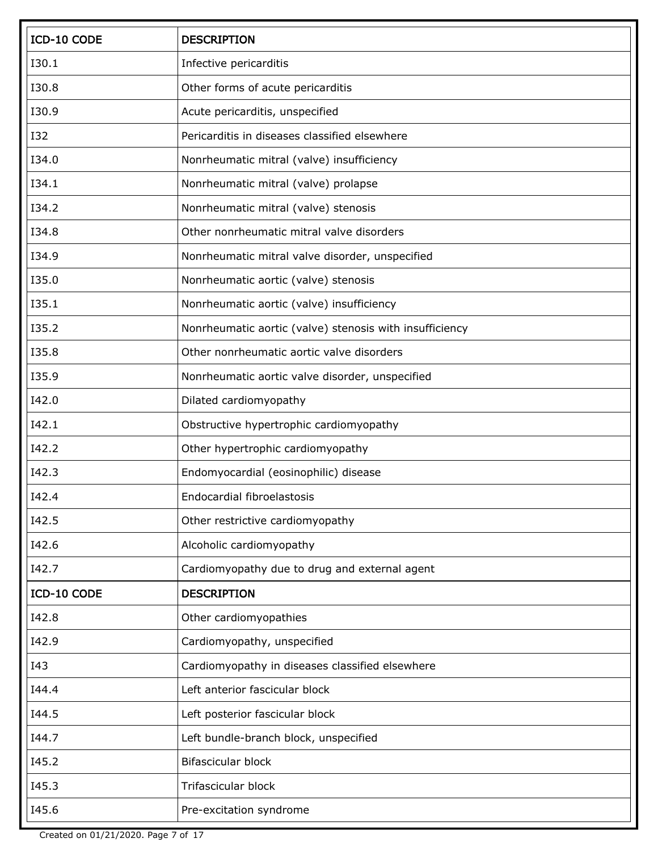| ICD-10 CODE | <b>DESCRIPTION</b>                                      |
|-------------|---------------------------------------------------------|
| I30.1       | Infective pericarditis                                  |
| I30.8       | Other forms of acute pericarditis                       |
| I30.9       | Acute pericarditis, unspecified                         |
| <b>I32</b>  | Pericarditis in diseases classified elsewhere           |
| I34.0       | Nonrheumatic mitral (valve) insufficiency               |
| I34.1       | Nonrheumatic mitral (valve) prolapse                    |
| I34.2       | Nonrheumatic mitral (valve) stenosis                    |
| I34.8       | Other nonrheumatic mitral valve disorders               |
| I34.9       | Nonrheumatic mitral valve disorder, unspecified         |
| I35.0       | Nonrheumatic aortic (valve) stenosis                    |
| I35.1       | Nonrheumatic aortic (valve) insufficiency               |
| I35.2       | Nonrheumatic aortic (valve) stenosis with insufficiency |
| I35.8       | Other nonrheumatic aortic valve disorders               |
| I35.9       | Nonrheumatic aortic valve disorder, unspecified         |
| I42.0       | Dilated cardiomyopathy                                  |
| I42.1       | Obstructive hypertrophic cardiomyopathy                 |
| I42.2       | Other hypertrophic cardiomyopathy                       |
| I42.3       | Endomyocardial (eosinophilic) disease                   |
| I42.4       | Endocardial fibroelastosis                              |
| I42.5       | Other restrictive cardiomyopathy                        |
| I42.6       | Alcoholic cardiomyopathy                                |
| I42.7       | Cardiomyopathy due to drug and external agent           |
| ICD-10 CODE | <b>DESCRIPTION</b>                                      |
| I42.8       | Other cardiomyopathies                                  |
| I42.9       | Cardiomyopathy, unspecified                             |
| I43         | Cardiomyopathy in diseases classified elsewhere         |
| 144.4       | Left anterior fascicular block                          |
| I44.5       | Left posterior fascicular block                         |
| I44.7       | Left bundle-branch block, unspecified                   |
| I45.2       | Bifascicular block                                      |
| I45.3       | <b>Trifascicular block</b>                              |
| I45.6       | Pre-excitation syndrome                                 |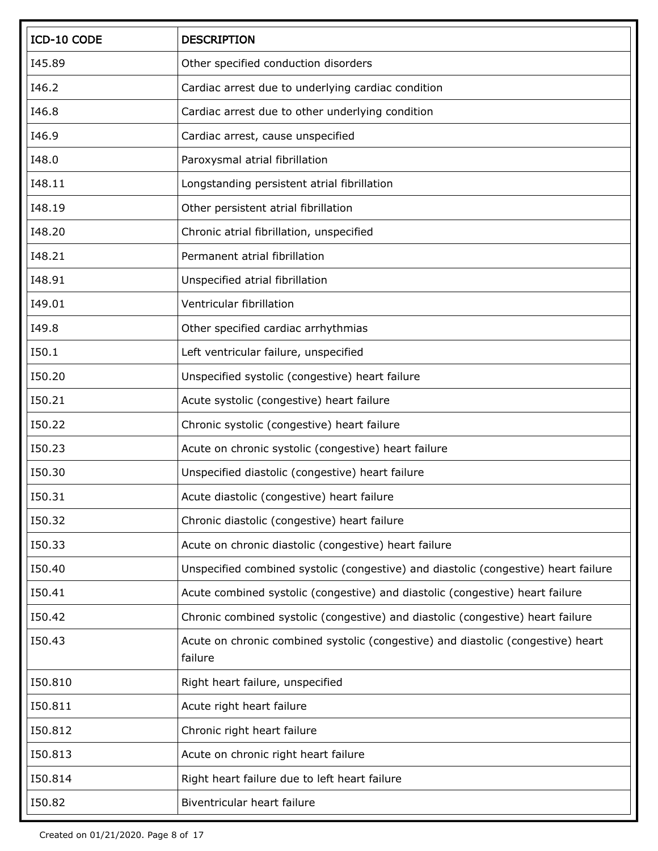| ICD-10 CODE | <b>DESCRIPTION</b>                                                                          |
|-------------|---------------------------------------------------------------------------------------------|
| I45.89      | Other specified conduction disorders                                                        |
| I46.2       | Cardiac arrest due to underlying cardiac condition                                          |
| I46.8       | Cardiac arrest due to other underlying condition                                            |
| I46.9       | Cardiac arrest, cause unspecified                                                           |
| I48.0       | Paroxysmal atrial fibrillation                                                              |
| I48.11      | Longstanding persistent atrial fibrillation                                                 |
| I48.19      | Other persistent atrial fibrillation                                                        |
| I48.20      | Chronic atrial fibrillation, unspecified                                                    |
| I48.21      | Permanent atrial fibrillation                                                               |
| I48.91      | Unspecified atrial fibrillation                                                             |
| I49.01      | Ventricular fibrillation                                                                    |
| I49.8       | Other specified cardiac arrhythmias                                                         |
| I50.1       | Left ventricular failure, unspecified                                                       |
| I50.20      | Unspecified systolic (congestive) heart failure                                             |
| I50.21      | Acute systolic (congestive) heart failure                                                   |
| I50.22      | Chronic systolic (congestive) heart failure                                                 |
| I50.23      | Acute on chronic systolic (congestive) heart failure                                        |
| 150.30      | Unspecified diastolic (congestive) heart failure                                            |
| I50.31      | Acute diastolic (congestive) heart failure                                                  |
| I50.32      | Chronic diastolic (congestive) heart failure                                                |
| I50.33      | Acute on chronic diastolic (congestive) heart failure                                       |
| 150.40      | Unspecified combined systolic (congestive) and diastolic (congestive) heart failure         |
| 150.41      | Acute combined systolic (congestive) and diastolic (congestive) heart failure               |
| I50.42      | Chronic combined systolic (congestive) and diastolic (congestive) heart failure             |
| I50.43      | Acute on chronic combined systolic (congestive) and diastolic (congestive) heart<br>failure |
| 150.810     | Right heart failure, unspecified                                                            |
| 150.811     | Acute right heart failure                                                                   |
| 150.812     | Chronic right heart failure                                                                 |
| 150.813     | Acute on chronic right heart failure                                                        |
| 150.814     | Right heart failure due to left heart failure                                               |
| I50.82      | Biventricular heart failure                                                                 |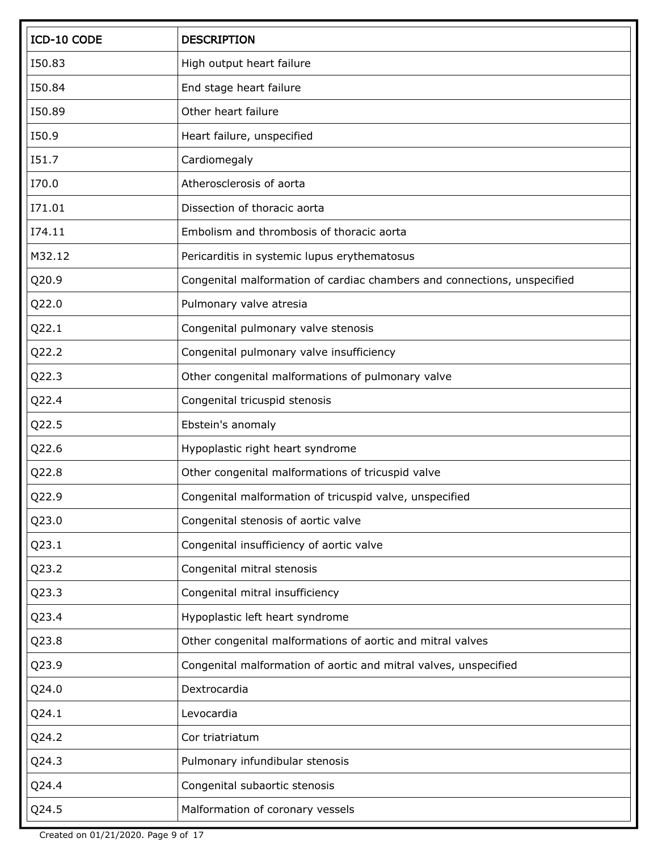| ICD-10 CODE | <b>DESCRIPTION</b>                                                       |
|-------------|--------------------------------------------------------------------------|
| I50.83      | High output heart failure                                                |
| I50.84      | End stage heart failure                                                  |
| I50.89      | Other heart failure                                                      |
| I50.9       | Heart failure, unspecified                                               |
| I51.7       | Cardiomegaly                                                             |
| I70.0       | Atherosclerosis of aorta                                                 |
| I71.01      | Dissection of thoracic aorta                                             |
| I74.11      | Embolism and thrombosis of thoracic aorta                                |
| M32.12      | Pericarditis in systemic lupus erythematosus                             |
| Q20.9       | Congenital malformation of cardiac chambers and connections, unspecified |
| Q22.0       | Pulmonary valve atresia                                                  |
| Q22.1       | Congenital pulmonary valve stenosis                                      |
| Q22.2       | Congenital pulmonary valve insufficiency                                 |
| Q22.3       | Other congenital malformations of pulmonary valve                        |
| Q22.4       | Congenital tricuspid stenosis                                            |
| Q22.5       | Ebstein's anomaly                                                        |
| Q22.6       | Hypoplastic right heart syndrome                                         |
| Q22.8       | Other congenital malformations of tricuspid valve                        |
| Q22.9       | Congenital malformation of tricuspid valve, unspecified                  |
| Q23.0       | Congenital stenosis of aortic valve                                      |
| Q23.1       | Congenital insufficiency of aortic valve                                 |
| Q23.2       | Congenital mitral stenosis                                               |
| Q23.3       | Congenital mitral insufficiency                                          |
| Q23.4       | Hypoplastic left heart syndrome                                          |
| Q23.8       | Other congenital malformations of aortic and mitral valves               |
| Q23.9       | Congenital malformation of aortic and mitral valves, unspecified         |
| Q24.0       | Dextrocardia                                                             |
| Q24.1       | Levocardia                                                               |
| Q24.2       | Cor triatriatum                                                          |
| Q24.3       | Pulmonary infundibular stenosis                                          |
| Q24.4       | Congenital subaortic stenosis                                            |
| Q24.5       | Malformation of coronary vessels                                         |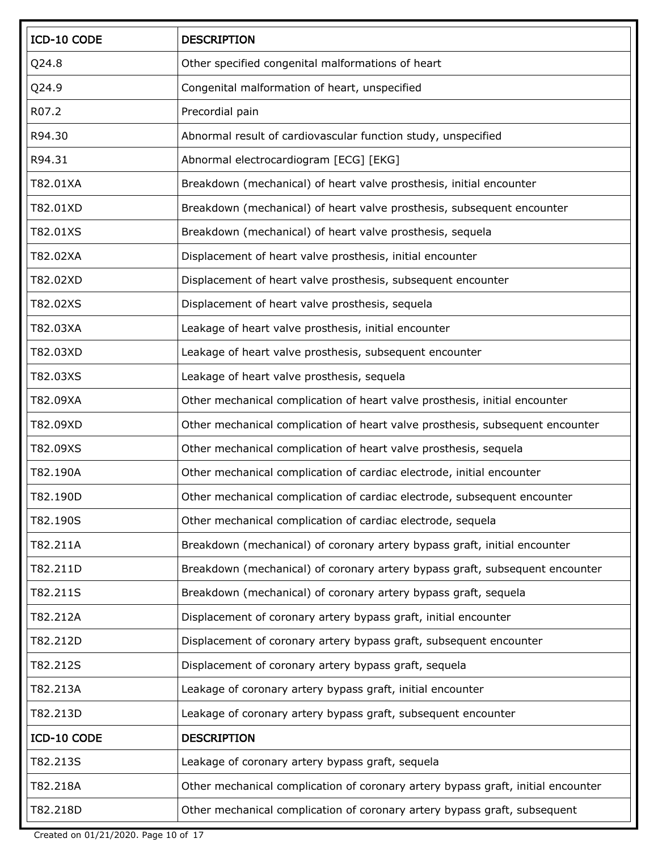| ICD-10 CODE | <b>DESCRIPTION</b>                                                               |
|-------------|----------------------------------------------------------------------------------|
| Q24.8       | Other specified congenital malformations of heart                                |
| Q24.9       | Congenital malformation of heart, unspecified                                    |
| R07.2       | Precordial pain                                                                  |
| R94.30      | Abnormal result of cardiovascular function study, unspecified                    |
| R94.31      | Abnormal electrocardiogram [ECG] [EKG]                                           |
| T82.01XA    | Breakdown (mechanical) of heart valve prosthesis, initial encounter              |
| T82.01XD    | Breakdown (mechanical) of heart valve prosthesis, subsequent encounter           |
| T82.01XS    | Breakdown (mechanical) of heart valve prosthesis, sequela                        |
| T82.02XA    | Displacement of heart valve prosthesis, initial encounter                        |
| T82.02XD    | Displacement of heart valve prosthesis, subsequent encounter                     |
| T82.02XS    | Displacement of heart valve prosthesis, sequela                                  |
| T82.03XA    | Leakage of heart valve prosthesis, initial encounter                             |
| T82.03XD    | Leakage of heart valve prosthesis, subsequent encounter                          |
| T82.03XS    | Leakage of heart valve prosthesis, sequela                                       |
| T82.09XA    | Other mechanical complication of heart valve prosthesis, initial encounter       |
| T82.09XD    | Other mechanical complication of heart valve prosthesis, subsequent encounter    |
| T82.09XS    | Other mechanical complication of heart valve prosthesis, sequela                 |
| T82.190A    | Other mechanical complication of cardiac electrode, initial encounter            |
| T82.190D    | Other mechanical complication of cardiac electrode, subsequent encounter         |
| T82.190S    | Other mechanical complication of cardiac electrode, sequela                      |
| T82.211A    | Breakdown (mechanical) of coronary artery bypass graft, initial encounter        |
| T82.211D    | Breakdown (mechanical) of coronary artery bypass graft, subsequent encounter     |
| T82.211S    | Breakdown (mechanical) of coronary artery bypass graft, sequela                  |
| T82.212A    | Displacement of coronary artery bypass graft, initial encounter                  |
| T82.212D    | Displacement of coronary artery bypass graft, subsequent encounter               |
| T82.212S    | Displacement of coronary artery bypass graft, sequela                            |
| T82.213A    | Leakage of coronary artery bypass graft, initial encounter                       |
| T82.213D    | Leakage of coronary artery bypass graft, subsequent encounter                    |
| ICD-10 CODE | <b>DESCRIPTION</b>                                                               |
| T82.213S    | Leakage of coronary artery bypass graft, sequela                                 |
| T82.218A    | Other mechanical complication of coronary artery bypass graft, initial encounter |
| T82.218D    | Other mechanical complication of coronary artery bypass graft, subsequent        |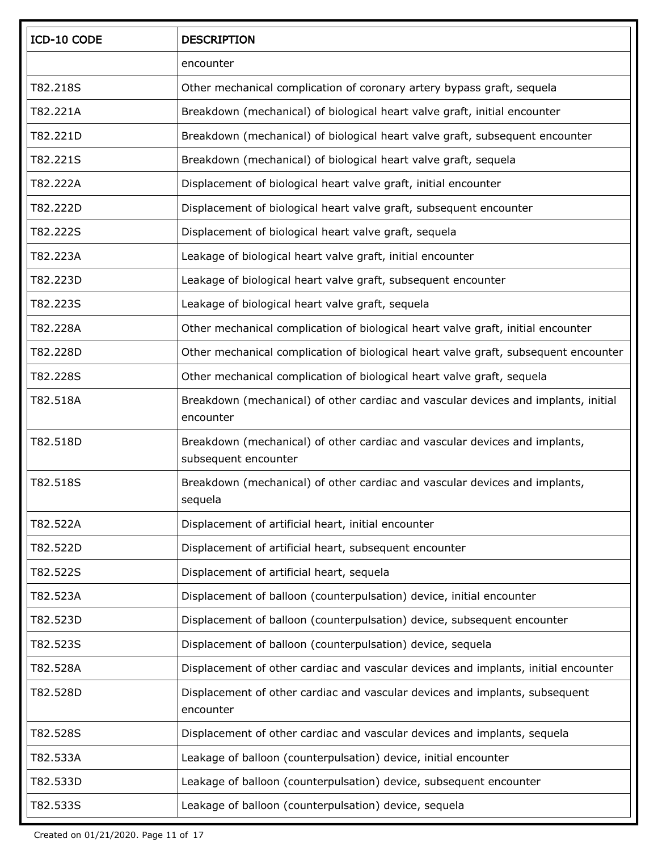| ICD-10 CODE | <b>DESCRIPTION</b>                                                                                 |
|-------------|----------------------------------------------------------------------------------------------------|
|             | encounter                                                                                          |
| T82.218S    | Other mechanical complication of coronary artery bypass graft, sequela                             |
| T82.221A    | Breakdown (mechanical) of biological heart valve graft, initial encounter                          |
| T82.221D    | Breakdown (mechanical) of biological heart valve graft, subsequent encounter                       |
| T82.221S    | Breakdown (mechanical) of biological heart valve graft, sequela                                    |
| T82.222A    | Displacement of biological heart valve graft, initial encounter                                    |
| T82.222D    | Displacement of biological heart valve graft, subsequent encounter                                 |
| T82.222S    | Displacement of biological heart valve graft, sequela                                              |
| T82.223A    | Leakage of biological heart valve graft, initial encounter                                         |
| T82.223D    | Leakage of biological heart valve graft, subsequent encounter                                      |
| T82.223S    | Leakage of biological heart valve graft, sequela                                                   |
| T82.228A    | Other mechanical complication of biological heart valve graft, initial encounter                   |
| T82.228D    | Other mechanical complication of biological heart valve graft, subsequent encounter                |
| T82.228S    | Other mechanical complication of biological heart valve graft, sequela                             |
| T82.518A    | Breakdown (mechanical) of other cardiac and vascular devices and implants, initial<br>encounter    |
| T82.518D    | Breakdown (mechanical) of other cardiac and vascular devices and implants,<br>subsequent encounter |
| T82.518S    | Breakdown (mechanical) of other cardiac and vascular devices and implants,<br>sequela              |
| T82.522A    | Displacement of artificial heart, initial encounter                                                |
| T82.522D    | Displacement of artificial heart, subsequent encounter                                             |
| T82.522S    | Displacement of artificial heart, sequela                                                          |
| T82.523A    | Displacement of balloon (counterpulsation) device, initial encounter                               |
| T82.523D    | Displacement of balloon (counterpulsation) device, subsequent encounter                            |
| T82.523S    | Displacement of balloon (counterpulsation) device, sequela                                         |
| T82.528A    | Displacement of other cardiac and vascular devices and implants, initial encounter                 |
| T82.528D    | Displacement of other cardiac and vascular devices and implants, subsequent<br>encounter           |
| T82.528S    | Displacement of other cardiac and vascular devices and implants, sequela                           |
| T82.533A    | Leakage of balloon (counterpulsation) device, initial encounter                                    |
| T82.533D    | Leakage of balloon (counterpulsation) device, subsequent encounter                                 |
| T82.533S    | Leakage of balloon (counterpulsation) device, sequela                                              |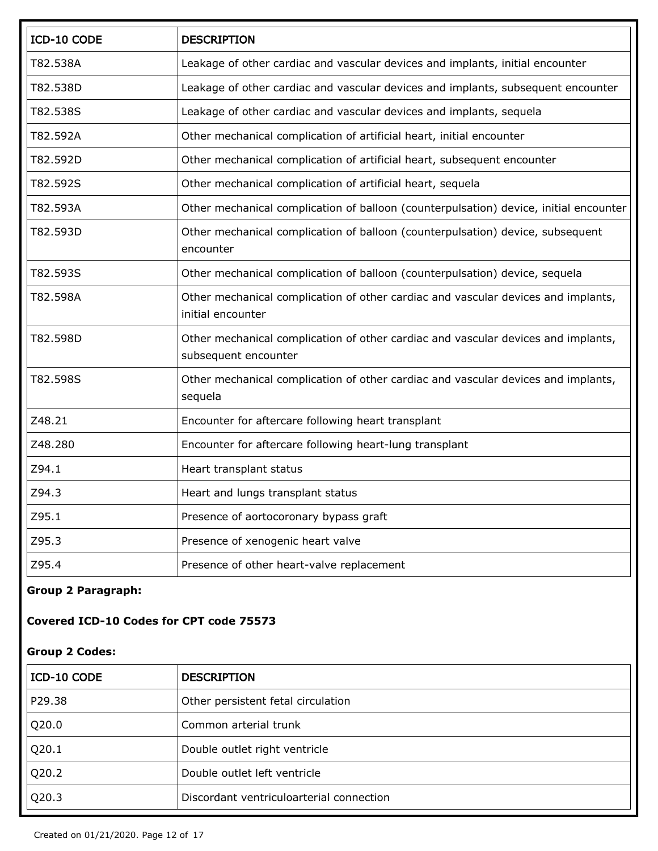| ICD-10 CODE | <b>DESCRIPTION</b>                                                                                        |
|-------------|-----------------------------------------------------------------------------------------------------------|
| T82.538A    | Leakage of other cardiac and vascular devices and implants, initial encounter                             |
| T82.538D    | Leakage of other cardiac and vascular devices and implants, subsequent encounter                          |
| T82.538S    | Leakage of other cardiac and vascular devices and implants, sequela                                       |
| T82.592A    | Other mechanical complication of artificial heart, initial encounter                                      |
| T82.592D    | Other mechanical complication of artificial heart, subsequent encounter                                   |
| T82.592S    | Other mechanical complication of artificial heart, sequela                                                |
| T82.593A    | Other mechanical complication of balloon (counterpulsation) device, initial encounter                     |
| T82.593D    | Other mechanical complication of balloon (counterpulsation) device, subsequent<br>encounter               |
| T82.593S    | Other mechanical complication of balloon (counterpulsation) device, sequela                               |
| T82.598A    | Other mechanical complication of other cardiac and vascular devices and implants,<br>initial encounter    |
| T82.598D    | Other mechanical complication of other cardiac and vascular devices and implants,<br>subsequent encounter |
| T82.598S    | Other mechanical complication of other cardiac and vascular devices and implants,<br>sequela              |
| Z48.21      | Encounter for aftercare following heart transplant                                                        |
| Z48.280     | Encounter for aftercare following heart-lung transplant                                                   |
| Z94.1       | Heart transplant status                                                                                   |
| Z94.3       | Heart and lungs transplant status                                                                         |
| Z95.1       | Presence of aortocoronary bypass graft                                                                    |
| Z95.3       | Presence of xenogenic heart valve                                                                         |
| Z95.4       | Presence of other heart-valve replacement                                                                 |

## **Group 2 Paragraph:**

## **Covered ICD-10 Codes for CPT code 75573**

## **Group 2 Codes:**

| ICD-10 CODE | <b>DESCRIPTION</b>                       |
|-------------|------------------------------------------|
| P29.38      | Other persistent fetal circulation       |
| Q20.0       | Common arterial trunk                    |
| Q20.1       | Double outlet right ventricle            |
| Q20.2       | Double outlet left ventricle             |
| Q20.3       | Discordant ventriculoarterial connection |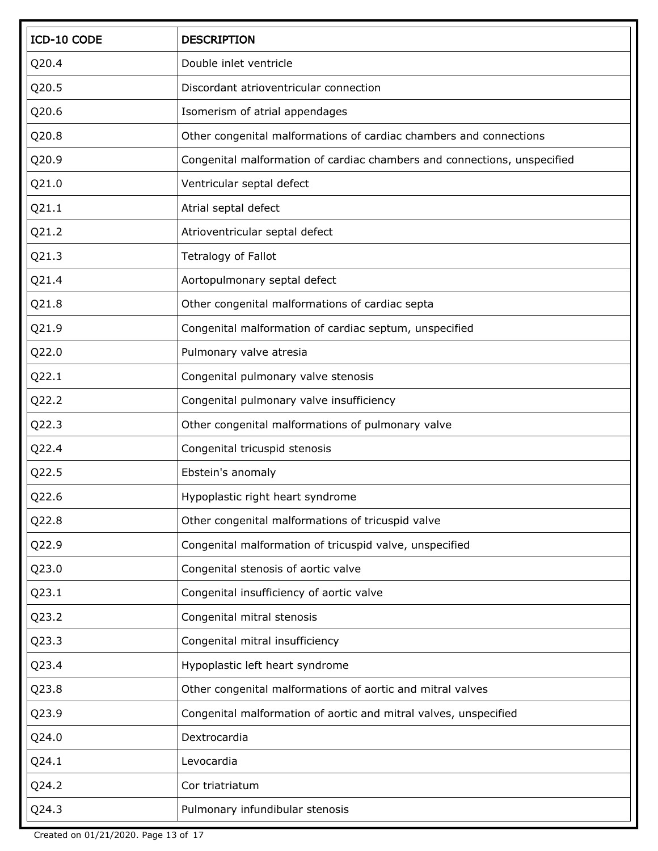| ICD-10 CODE | <b>DESCRIPTION</b>                                                       |
|-------------|--------------------------------------------------------------------------|
| Q20.4       | Double inlet ventricle                                                   |
| Q20.5       | Discordant atrioventricular connection                                   |
| Q20.6       | Isomerism of atrial appendages                                           |
| Q20.8       | Other congenital malformations of cardiac chambers and connections       |
| Q20.9       | Congenital malformation of cardiac chambers and connections, unspecified |
| Q21.0       | Ventricular septal defect                                                |
| Q21.1       | Atrial septal defect                                                     |
| Q21.2       | Atrioventricular septal defect                                           |
| Q21.3       | Tetralogy of Fallot                                                      |
| Q21.4       | Aortopulmonary septal defect                                             |
| Q21.8       | Other congenital malformations of cardiac septa                          |
| Q21.9       | Congenital malformation of cardiac septum, unspecified                   |
| Q22.0       | Pulmonary valve atresia                                                  |
| Q22.1       | Congenital pulmonary valve stenosis                                      |
| Q22.2       | Congenital pulmonary valve insufficiency                                 |
| Q22.3       | Other congenital malformations of pulmonary valve                        |
| Q22.4       | Congenital tricuspid stenosis                                            |
| Q22.5       | Ebstein's anomaly                                                        |
| Q22.6       | Hypoplastic right heart syndrome                                         |
| Q22.8       | Other congenital malformations of tricuspid valve                        |
| Q22.9       | Congenital malformation of tricuspid valve, unspecified                  |
| Q23.0       | Congenital stenosis of aortic valve                                      |
| Q23.1       | Congenital insufficiency of aortic valve                                 |
| Q23.2       | Congenital mitral stenosis                                               |
| Q23.3       | Congenital mitral insufficiency                                          |
| Q23.4       | Hypoplastic left heart syndrome                                          |
| Q23.8       | Other congenital malformations of aortic and mitral valves               |
| Q23.9       | Congenital malformation of aortic and mitral valves, unspecified         |
| Q24.0       | Dextrocardia                                                             |
| Q24.1       | Levocardia                                                               |
| Q24.2       | Cor triatriatum                                                          |
| Q24.3       | Pulmonary infundibular stenosis                                          |

Created on 01/21/2020. Page 13 of 17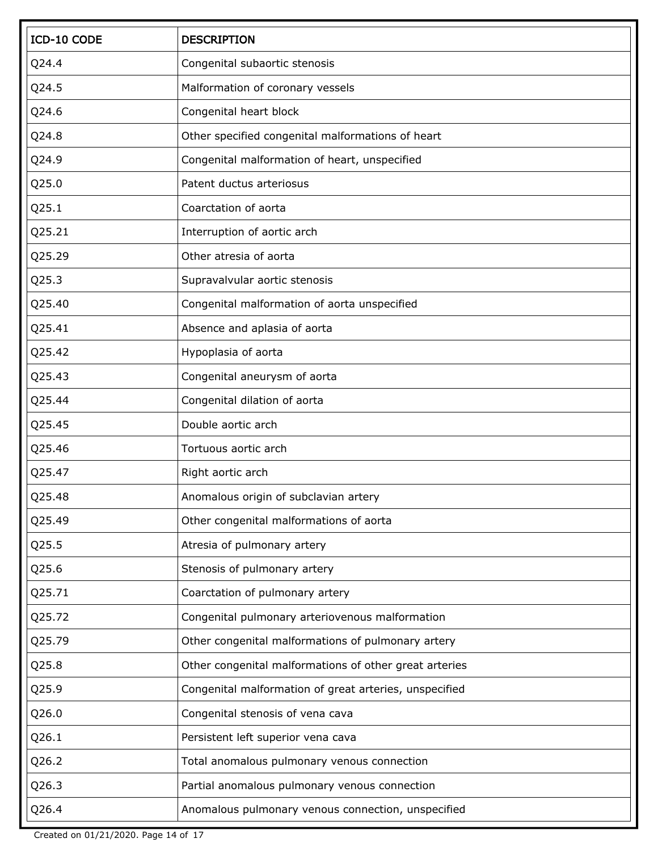| ICD-10 CODE | <b>DESCRIPTION</b>                                     |
|-------------|--------------------------------------------------------|
| Q24.4       | Congenital subaortic stenosis                          |
| Q24.5       | Malformation of coronary vessels                       |
| Q24.6       | Congenital heart block                                 |
| Q24.8       | Other specified congenital malformations of heart      |
| Q24.9       | Congenital malformation of heart, unspecified          |
| Q25.0       | Patent ductus arteriosus                               |
| Q25.1       | Coarctation of aorta                                   |
| Q25.21      | Interruption of aortic arch                            |
| Q25.29      | Other atresia of aorta                                 |
| Q25.3       | Supravalvular aortic stenosis                          |
| Q25.40      | Congenital malformation of aorta unspecified           |
| Q25.41      | Absence and aplasia of aorta                           |
| Q25.42      | Hypoplasia of aorta                                    |
| Q25.43      | Congenital aneurysm of aorta                           |
| Q25.44      | Congenital dilation of aorta                           |
| Q25.45      | Double aortic arch                                     |
| Q25.46      | Tortuous aortic arch                                   |
| Q25.47      | Right aortic arch                                      |
| Q25.48      | Anomalous origin of subclavian artery                  |
| Q25.49      | Other congenital malformations of aorta                |
| Q25.5       | Atresia of pulmonary artery                            |
| Q25.6       | Stenosis of pulmonary artery                           |
| Q25.71      | Coarctation of pulmonary artery                        |
| Q25.72      | Congenital pulmonary arteriovenous malformation        |
| Q25.79      | Other congenital malformations of pulmonary artery     |
| Q25.8       | Other congenital malformations of other great arteries |
| Q25.9       | Congenital malformation of great arteries, unspecified |
| Q26.0       | Congenital stenosis of vena cava                       |
| Q26.1       | Persistent left superior vena cava                     |
| Q26.2       | Total anomalous pulmonary venous connection            |
| Q26.3       | Partial anomalous pulmonary venous connection          |
| Q26.4       | Anomalous pulmonary venous connection, unspecified     |

Created on 01/21/2020. Page 14 of 17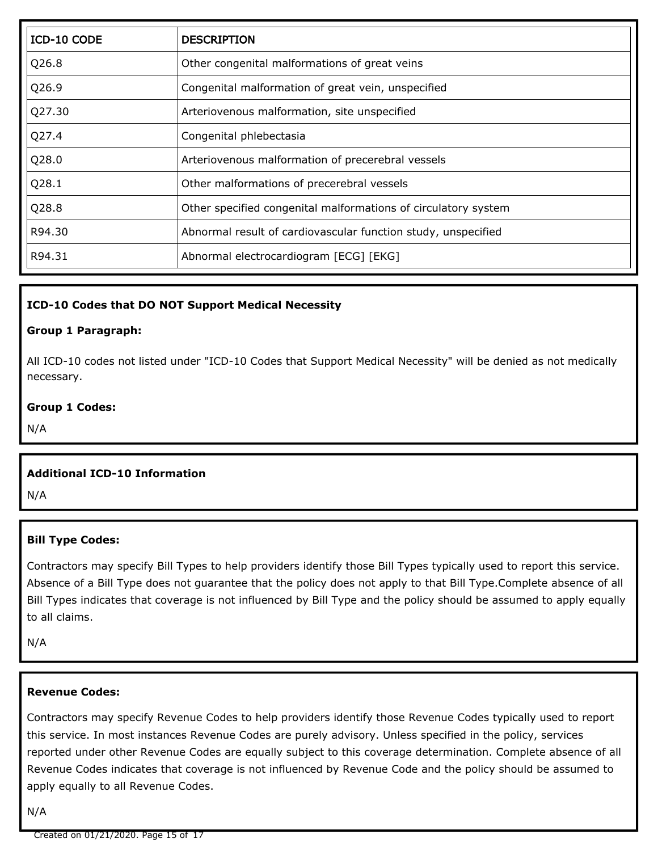| ICD-10 CODE | <b>DESCRIPTION</b>                                             |
|-------------|----------------------------------------------------------------|
| Q26.8       | Other congenital malformations of great veins                  |
| Q26.9       | Congenital malformation of great vein, unspecified             |
| Q27.30      | Arteriovenous malformation, site unspecified                   |
| Q27.4       | Congenital phlebectasia                                        |
| Q28.0       | Arteriovenous malformation of precerebral vessels              |
| Q28.1       | Other malformations of precerebral vessels                     |
| Q28.8       | Other specified congenital malformations of circulatory system |
| R94.30      | Abnormal result of cardiovascular function study, unspecified  |
| R94.31      | Abnormal electrocardiogram [ECG] [EKG]                         |

#### **ICD-10 Codes that DO NOT Support Medical Necessity**

#### **Group 1 Paragraph:**

All ICD-10 codes not listed under "ICD-10 Codes that Support Medical Necessity" will be denied as not medically necessary.

#### **Group 1 Codes:**

N/A

#### **Additional ICD-10 Information**

N/A

#### **Bill Type Codes:**

Contractors may specify Bill Types to help providers identify those Bill Types typically used to report this service. Absence of a Bill Type does not guarantee that the policy does not apply to that Bill Type.Complete absence of all Bill Types indicates that coverage is not influenced by Bill Type and the policy should be assumed to apply equally to all claims.

N/A

#### **Revenue Codes:**

Contractors may specify Revenue Codes to help providers identify those Revenue Codes typically used to report this service. In most instances Revenue Codes are purely advisory. Unless specified in the policy, services reported under other Revenue Codes are equally subject to this coverage determination. Complete absence of all Revenue Codes indicates that coverage is not influenced by Revenue Code and the policy should be assumed to apply equally to all Revenue Codes.

N/A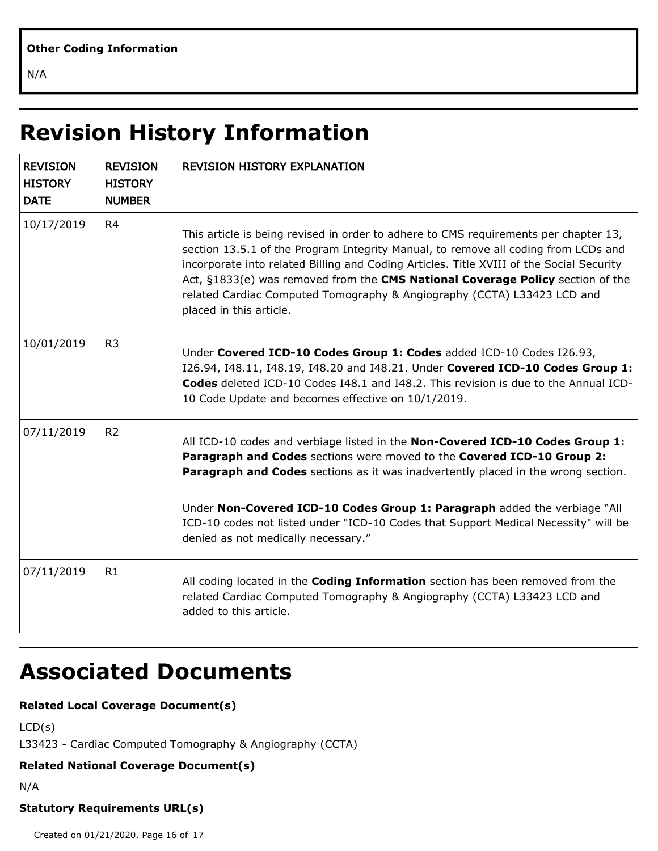N/A

# **Revision History Information**

| <b>REVISION</b><br><b>HISTORY</b><br><b>DATE</b> | <b>REVISION</b><br><b>HISTORY</b><br><b>NUMBER</b> | <b>REVISION HISTORY EXPLANATION</b>                                                                                                                                                                                                                                                                                                                                                                                                                            |
|--------------------------------------------------|----------------------------------------------------|----------------------------------------------------------------------------------------------------------------------------------------------------------------------------------------------------------------------------------------------------------------------------------------------------------------------------------------------------------------------------------------------------------------------------------------------------------------|
| 10/17/2019                                       | R <sub>4</sub>                                     | This article is being revised in order to adhere to CMS requirements per chapter 13,<br>section 13.5.1 of the Program Integrity Manual, to remove all coding from LCDs and<br>incorporate into related Billing and Coding Articles. Title XVIII of the Social Security<br>Act, §1833(e) was removed from the CMS National Coverage Policy section of the<br>related Cardiac Computed Tomography & Angiography (CCTA) L33423 LCD and<br>placed in this article. |
| 10/01/2019                                       | R <sub>3</sub>                                     | Under Covered ICD-10 Codes Group 1: Codes added ICD-10 Codes I26.93,<br>I26.94, I48.11, I48.19, I48.20 and I48.21. Under Covered ICD-10 Codes Group 1:<br>Codes deleted ICD-10 Codes I48.1 and I48.2. This revision is due to the Annual ICD-<br>10 Code Update and becomes effective on 10/1/2019.                                                                                                                                                            |
| 07/11/2019                                       | R <sub>2</sub>                                     | All ICD-10 codes and verbiage listed in the Non-Covered ICD-10 Codes Group 1:<br>Paragraph and Codes sections were moved to the Covered ICD-10 Group 2:<br>Paragraph and Codes sections as it was inadvertently placed in the wrong section.<br>Under Non-Covered ICD-10 Codes Group 1: Paragraph added the verbiage "All<br>ICD-10 codes not listed under "ICD-10 Codes that Support Medical Necessity" will be<br>denied as not medically necessary."        |
| 07/11/2019                                       | R1                                                 | All coding located in the <b>Coding Information</b> section has been removed from the<br>related Cardiac Computed Tomography & Angiography (CCTA) L33423 LCD and<br>added to this article.                                                                                                                                                                                                                                                                     |

## **Associated Documents**

## **Related Local Coverage Document(s)**

```
LCD(s)
L33423 - Cardiac Computed Tomography & Angiography (CCTA)
```
## **Related National Coverage Document(s)**

N/A

## **Statutory Requirements URL(s)**

Created on 01/21/2020. Page 16 of 17